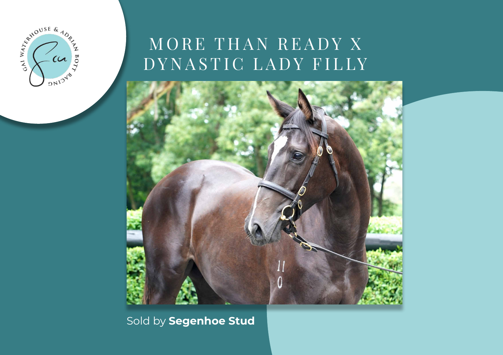

# MORE THAN READY X DYNASTIC LADY FILLY



Sold by **Segenhoe Stud**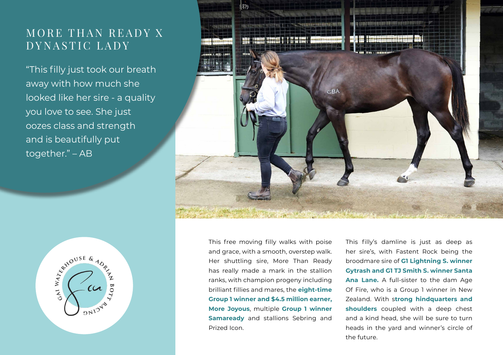## MORE THAN READY X DYNASTIC LADY

"This filly just took our breath away with how much she looked like her sire - a quality you love to see. She just oozes class and strength and is beautifully put together." – AB





This free moving filly walks with poise and grace, with a smooth, overstep walk. Her shuttling sire, More Than Ready has really made a mark in the stallion ranks, with champion progeny including brilliant fillies and mares, the **eight-time Group 1 winner and \$4.5 million earner, More Joyous**, multiple **Group 1 winner Samaready** and stallions Sebring and Prized Icon.

This filly's damline is just as deep as her sire's, with Fastent Rock being the broodmare sire of **G1 Lightning S. winner Gytrash and G1 TJ Smith S. winner Santa Ana Lane.** A full-sister to the dam Age Of Fire, who is a Group 1 winner in New Zealand. With s**trong hindquarters and shoulders** coupled with a deep chest and a kind head, she will be sure to turn heads in the yard and winner's circle of the future.